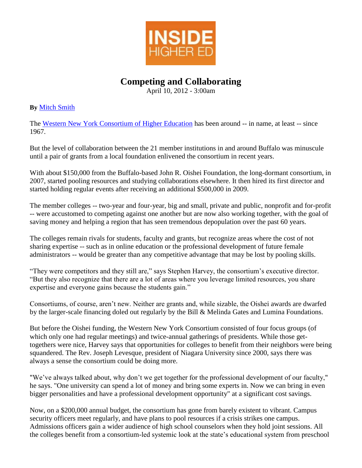

## **Competing and Collaborating**

April 10, 2012 - 3:00am

## **By** [Mitch Smith](http://www.insidehighered.com/users/mitch-smith)

The [Western New York Consortium of Higher Education](http://www.wnycollegeconnection.com/) has been around -- in name, at least -- since 1967.

But the level of collaboration between the 21 member institutions in and around Buffalo was minuscule until a pair of grants from a local foundation enlivened the consortium in recent years.

With about \$150,000 from the Buffalo-based John R. Oishei Foundation, the long-dormant consortium, in 2007, started pooling resources and studying collaborations elsewhere. It then hired its first director and started holding regular events after receiving an additional \$500,000 in 2009.

The member colleges -- two-year and four-year, big and small, private and public, nonprofit and for-profit -- were accustomed to competing against one another but are now also working together, with the goal of saving money and helping a region that has seen tremendous depopulation over the past 60 years.

The colleges remain rivals for students, faculty and grants, but recognize areas where the cost of not sharing expertise -- such as in online education or the professional development of future female administrators -- would be greater than any competitive advantage that may be lost by pooling skills.

"They were competitors and they still are," says Stephen Harvey, the consortium's executive director. "But they also recognize that there are a lot of areas where you leverage limited resources, you share expertise and everyone gains because the students gain."

Consortiums, of course, aren't new. Neither are grants and, while sizable, the Oishei awards are dwarfed by the larger-scale financing doled out regularly by the Bill & Melinda Gates and Lumina Foundations.

But before the Oishei funding, the Western New York Consortium consisted of four focus groups (of which only one had regular meetings) and twice-annual gatherings of presidents. While those gettogethers were nice, Harvey says that opportunities for colleges to benefit from their neighbors were being squandered. The Rev. Joseph Levesque, president of Niagara University since 2000, says there was always a sense the consortium could be doing more.

"We've always talked about, why don't we get together for the professional development of our faculty," he says. "One university can spend a lot of money and bring some experts in. Now we can bring in even bigger personalities and have a professional development opportunity" at a significant cost savings.

Now, on a \$200,000 annual budget, the consortium has gone from barely existent to vibrant. Campus security officers meet regularly, and have plans to pool resources if a crisis strikes one campus. Admissions officers gain a wider audience of high school counselors when they hold joint sessions. All the colleges benefit from a consortium-led systemic look at the state's educational system from preschool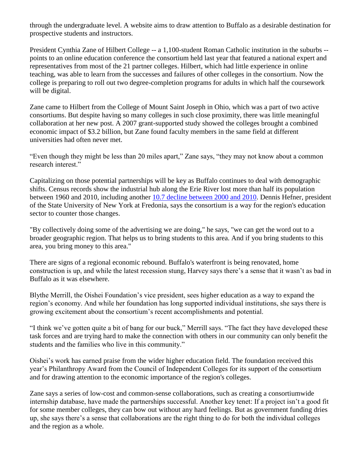through the undergraduate level. A website aims to draw attention to Buffalo as a desirable destination for prospective students and instructors.

President Cynthia Zane of Hilbert College -- a 1,100-student Roman Catholic institution in the suburbs - points to an online education conference the consortium held last year that featured a national expert and representatives from most of the 21 partner colleges. Hilbert, which had little experience in online teaching, was able to learn from the successes and failures of other colleges in the consortium. Now the college is preparing to roll out two degree-completion programs for adults in which half the coursework will be digital.

Zane came to Hilbert from the College of Mount Saint Joseph in Ohio, which was a part of two active consortiums. But despite having so many colleges in such close proximity, there was little meaningful collaboration at her new post. A 2007 grant-supported study showed the colleges brought a combined economic impact of \$3.2 billion, but Zane found faculty members in the same field at different universities had often never met.

"Even though they might be less than 20 miles apart," Zane says, "they may not know about a common research interest."

Capitalizing on those potential partnerships will be key as Buffalo continues to deal with demographic shifts. Census records show the industrial hub along the Erie River lost more than half its population between 1960 and 2010, including another [10.7 decline between 2000 and 2010.](http://www.buffalonews.com/city/census/article375470.ece) Dennis Hefner, president of the State University of New York at Fredonia, says the consortium is a way for the region's education sector to counter those changes.

"By collectively doing some of the advertising we are doing," he says, "we can get the word out to a broader geographic region. That helps us to bring students to this area. And if you bring students to this area, you bring money to this area."

There are signs of a regional economic rebound. Buffalo's waterfront is being renovated, home construction is up, and while the latest recession stung, Harvey says there's a sense that it wasn't as bad in Buffalo as it was elsewhere.

Blythe Merrill, the Oishei Foundation's vice president, sees higher education as a way to expand the region's economy. And while her foundation has long supported individual institutions, she says there is growing excitement about the consortium's recent accomplishments and potential.

"I think we've gotten quite a bit of bang for our buck," Merrill says. "The fact they have developed these task forces and are trying hard to make the connection with others in our community can only benefit the students and the families who live in this community."

Oishei's work has earned praise from the wider higher education field. The foundation received this year's Philanthropy Award from the Council of Independent Colleges for its support of the consortium and for drawing attention to the economic importance of the region's colleges.

Zane says a series of low-cost and common-sense collaborations, such as creating a consortiumwide internship database, have made the partnerships successful. Another key tenet: If a project isn't a good fit for some member colleges, they can bow out without any hard feelings. But as government funding dries up, she says there's a sense that collaborations are the right thing to do for both the individual colleges and the region as a whole.